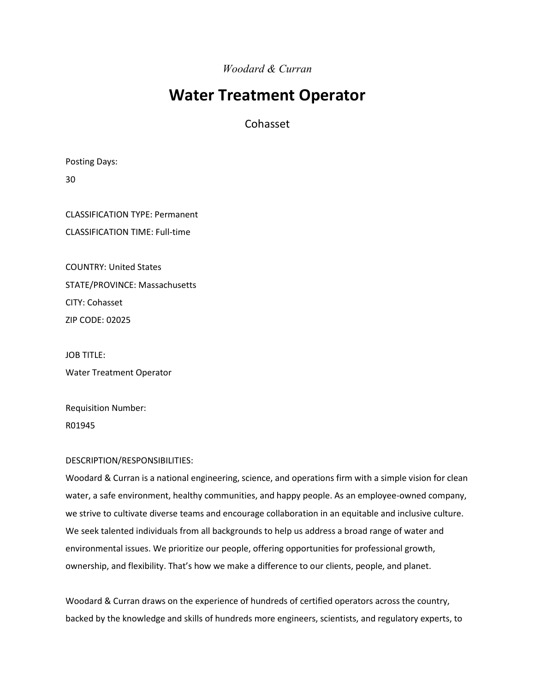*Woodard & Curran*

# **Water Treatment Operator**

Cohasset

Posting Days:

30

CLASSIFICATION TYPE: Permanent CLASSIFICATION TIME: Full-time

COUNTRY: United States STATE/PROVINCE: Massachusetts CITY: Cohasset ZIP CODE: 02025

JOB TITLE: Water Treatment Operator

Requisition Number: R01945

## DESCRIPTION/RESPONSIBILITIES:

Woodard & Curran is a national engineering, science, and operations firm with a simple vision for clean water, a safe environment, healthy communities, and happy people. As an employee-owned company, we strive to cultivate diverse teams and encourage collaboration in an equitable and inclusive culture. We seek talented individuals from all backgrounds to help us address a broad range of water and environmental issues. We prioritize our people, offering opportunities for professional growth, ownership, and flexibility. That's how we make a difference to our clients, people, and planet.

Woodard & Curran draws on the experience of hundreds of certified operators across the country, backed by the knowledge and skills of hundreds more engineers, scientists, and regulatory experts, to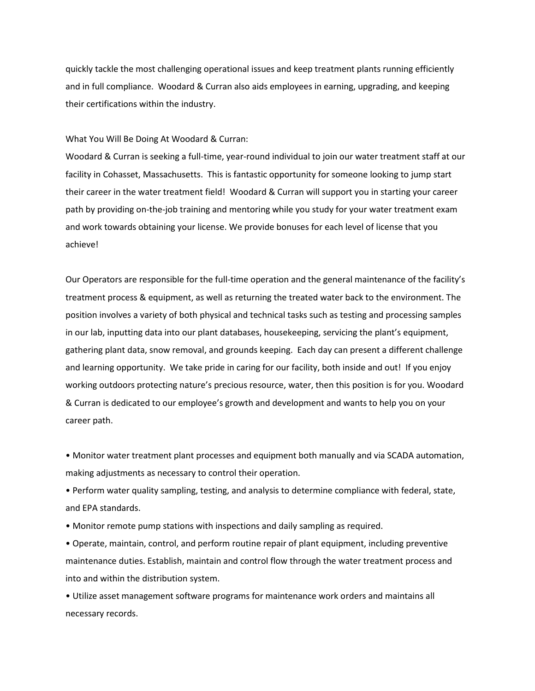quickly tackle the most challenging operational issues and keep treatment plants running efficiently and in full compliance. Woodard & Curran also aids employees in earning, upgrading, and keeping their certifications within the industry.

#### What You Will Be Doing At Woodard & Curran:

Woodard & Curran is seeking a full-time, year-round individual to join our water treatment staff at our facility in Cohasset, Massachusetts. This is fantastic opportunity for someone looking to jump start their career in the water treatment field! Woodard & Curran will support you in starting your career path by providing on-the-job training and mentoring while you study for your water treatment exam and work towards obtaining your license. We provide bonuses for each level of license that you achieve!

Our Operators are responsible for the full-time operation and the general maintenance of the facility's treatment process & equipment, as well as returning the treated water back to the environment. The position involves a variety of both physical and technical tasks such as testing and processing samples in our lab, inputting data into our plant databases, housekeeping, servicing the plant's equipment, gathering plant data, snow removal, and grounds keeping. Each day can present a different challenge and learning opportunity. We take pride in caring for our facility, both inside and out! If you enjoy working outdoors protecting nature's precious resource, water, then this position is for you. Woodard & Curran is dedicated to our employee's growth and development and wants to help you on your career path.

• Monitor water treatment plant processes and equipment both manually and via SCADA automation, making adjustments as necessary to control their operation.

• Perform water quality sampling, testing, and analysis to determine compliance with federal, state, and EPA standards.

• Monitor remote pump stations with inspections and daily sampling as required.

• Operate, maintain, control, and perform routine repair of plant equipment, including preventive maintenance duties. Establish, maintain and control flow through the water treatment process and into and within the distribution system.

• Utilize asset management software programs for maintenance work orders and maintains all necessary records.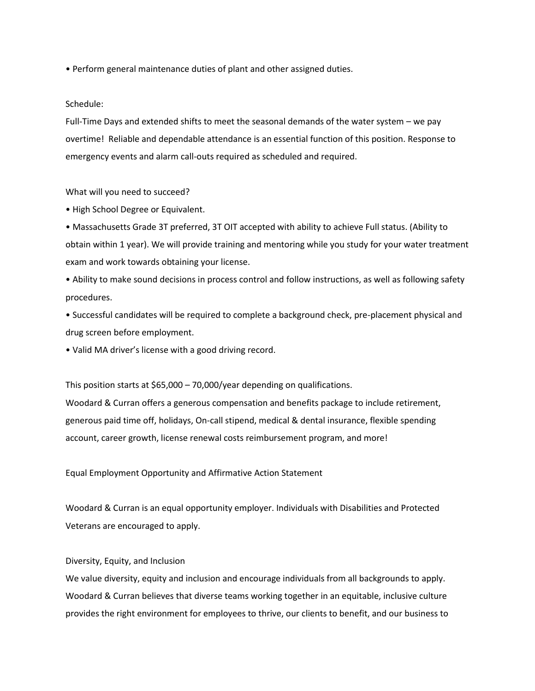• Perform general maintenance duties of plant and other assigned duties.

#### Schedule:

Full-Time Days and extended shifts to meet the seasonal demands of the water system – we pay overtime! Reliable and dependable attendance is an essential function of this position. Response to emergency events and alarm call-outs required as scheduled and required.

#### What will you need to succeed?

• High School Degree or Equivalent.

• Massachusetts Grade 3T preferred, 3T OIT accepted with ability to achieve Full status. (Ability to obtain within 1 year). We will provide training and mentoring while you study for your water treatment exam and work towards obtaining your license.

• Ability to make sound decisions in process control and follow instructions, as well as following safety procedures.

• Successful candidates will be required to complete a background check, pre-placement physical and drug screen before employment.

• Valid MA driver's license with a good driving record.

This position starts at \$65,000 – 70,000/year depending on qualifications.

Woodard & Curran offers a generous compensation and benefits package to include retirement, generous paid time off, holidays, On-call stipend, medical & dental insurance, flexible spending account, career growth, license renewal costs reimbursement program, and more!

Equal Employment Opportunity and Affirmative Action Statement

Woodard & Curran is an equal opportunity employer. Individuals with Disabilities and Protected Veterans are encouraged to apply.

### Diversity, Equity, and Inclusion

We value diversity, equity and inclusion and encourage individuals from all backgrounds to apply. Woodard & Curran believes that diverse teams working together in an equitable, inclusive culture provides the right environment for employees to thrive, our clients to benefit, and our business to